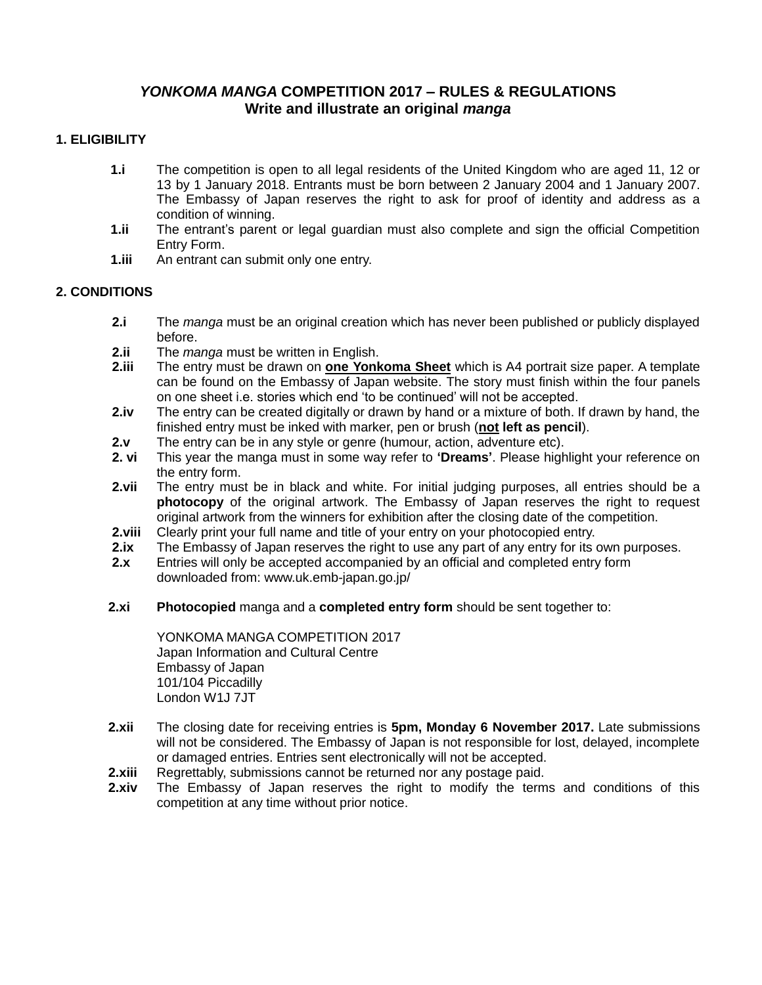# *YONKOMA MANGA* **COMPETITION 2017 – RULES & REGULATIONS Write and illustrate an original** *manga*

## **1. ELIGIBILITY**

- **1.i** The competition is open to all legal residents of the United Kingdom who are aged 11, 12 or 13 by 1 January 2018. Entrants must be born between 2 January 2004 and 1 January 2007. The Embassy of Japan reserves the right to ask for proof of identity and address as a condition of winning.
- **1.ii** The entrant's parent or legal guardian must also complete and sign the official Competition Entry Form.
- **1.iii** An entrant can submit only one entry.

### **2. CONDITIONS**

- **2.i** The *manga* must be an original creation which has never been published or publicly displayed before.
- **2.ii** The *manga* must be written in English.
- **2.iii** The entry must be drawn on **one Yonkoma Sheet** which is A4 portrait size paper. A template can be found on the Embassy of Japan website. The story must finish within the four panels on one sheet i.e. stories which end 'to be continued' will not be accepted.
- **2.iv** The entry can be created digitally or drawn by hand or a mixture of both. If drawn by hand, the finished entry must be inked with marker, pen or brush (**not left as pencil**).
- **2.v** The entry can be in any style or genre (humour, action, adventure etc).
- **2. vi** This year the manga must in some way refer to **'Dreams'**. Please highlight your reference on the entry form.
- **2.vii** The entry must be in black and white. For initial judging purposes, all entries should be a **photocopy** of the original artwork. The Embassy of Japan reserves the right to request original artwork from the winners for exhibition after the closing date of the competition.
- **2.viii** Clearly print your full name and title of your entry on your photocopied entry.
- **2.ix** The Embassy of Japan reserves the right to use any part of any entry for its own purposes.
- **2.x** Entries will only be accepted accompanied by an official and completed entry form downloaded from: www.uk.emb-japan.go.jp/
- **2.xi** Photocopied manga and a completed entry form should be sent together to:

YONKOMA MANGA COMPETITION 2017 Japan Information and Cultural Centre Embassy of Japan 101/104 Piccadilly London W1J 7JT

- **2.xii** The closing date for receiving entries is **5pm, Monday 6 November 2017.** Late submissions will not be considered. The Embassy of Japan is not responsible for lost, delayed, incomplete or damaged entries. Entries sent electronically will not be accepted.
- **2.xiii** Regrettably, submissions cannot be returned nor any postage paid.
- **2.xiv** The Embassy of Japan reserves the right to modify the terms and conditions of this competition at any time without prior notice.